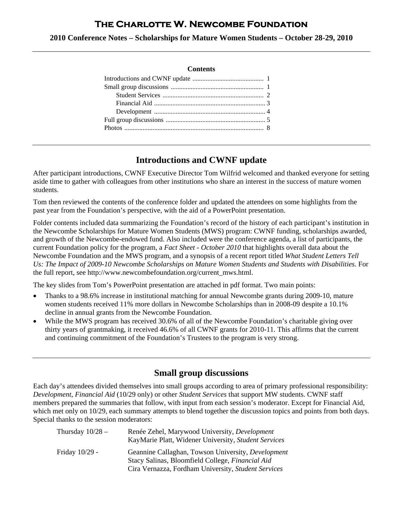# **The Charlotte W. Newcombe Foundation**

**2010 Conference Notes – Scholarships for Mature Women Students – October 28-29, 2010**

#### **Contents**

## **Introductions and CWNF update**

After participant introductions, CWNF Executive Director Tom Wilfrid welcomed and thanked everyone for setting aside time to gather with colleagues from other institutions who share an interest in the success of mature women students.

Tom then reviewed the contents of the conference folder and updated the attendees on some highlights from the past year from the Foundation's perspective, with the aid of a PowerPoint presentation.

Folder contents included data summarizing the Foundation's record of the history of each participant's institution in the Newcombe Scholarships for Mature Women Students (MWS) program: CWNF funding, scholarships awarded, and growth of the Newcombe-endowed fund. Also included were the conference agenda, a list of participants, the current Foundation policy for the program, a *Fact Sheet - October 2010* that highlights overall data about the Newcombe Foundation and the MWS program, and a synopsis of a recent report titled *What Student Letters Tell Us: The Impact of 2009-10 Newcombe Scholarships on Mature Women Students and Students with Disabilities*. For the full report, see http://www.newcombefoundation.org/current\_mws.html.

The key slides from Tom's PowerPoint presentation are attached in pdf format. Two main points:

- Thanks to a 98.6% increase in institutional matching for annual Newcombe grants during 2009-10, mature women students received 11% more dollars in Newcombe Scholarships than in 2008-09 despite a 10.1% decline in annual grants from the Newcombe Foundation.
- While the MWS program has received 30.6% of all of the Newcombe Foundation's charitable giving over thirty years of grantmaking, it received 46.6% of all CWNF grants for 2010-11. This affirms that the current and continuing commitment of the Foundation's Trustees to the program is very strong.

## **Small group discussions**

Each day's attendees divided themselves into small groups according to area of primary professional responsibility: *Development*, *Financial Aid* (10/29 only) or other *Student Services* that support MW students. CWNF staff members prepared the summaries that follow, with input from each session's moderator. Except for Financial Aid, which met only on 10/29, each summary attempts to blend together the discussion topics and points from both days. Special thanks to the session moderators:

| Thursday $10/28 -$ | Renée Zehel, Marywood University, Development<br>KayMarie Platt, Widener University, Student Services                                                         |
|--------------------|---------------------------------------------------------------------------------------------------------------------------------------------------------------|
| Friday 10/29 -     | Geannine Callaghan, Towson University, Development<br>Stacy Salinas, Bloomfield College, Financial Aid<br>Cira Vernazza, Fordham University, Student Services |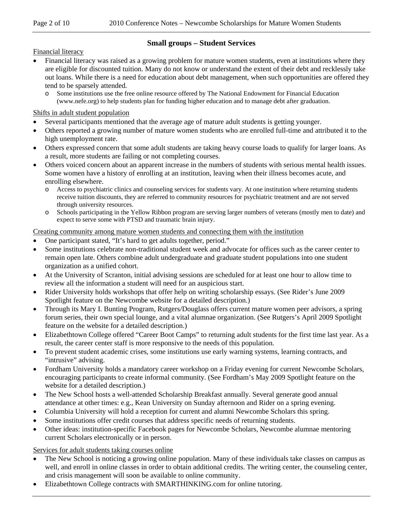## **Small groups – Student Services**

Financial literacy

- Financial literacy was raised as a growing problem for mature women students, even at institutions where they are eligible for discounted tuition. Many do not know or understand the extent of their debt and recklessly take out loans. While there is a need for education about debt management, when such opportunities are offered they tend to be sparsely attended.
	- o Some institutions use the free online resource offered by The National Endowment for Financial Education (www.nefe.org) to help students plan for funding higher education and to manage debt after graduation.

#### Shifts in adult student population

- Several participants mentioned that the average age of mature adult students is getting younger.
- Others reported a growing number of mature women students who are enrolled full-time and attributed it to the high unemployment rate.
- Others expressed concern that some adult students are taking heavy course loads to qualify for larger loans. As a result, more students are failing or not completing courses.
- Others voiced concern about an apparent increase in the numbers of students with serious mental health issues. Some women have a history of enrolling at an institution, leaving when their illness becomes acute, and enrolling elsewhere.
	- o Access to psychiatric clinics and counseling services for students vary. At one institution where returning students receive tuition discounts, they are referred to community resources for psychiatric treatment and are not served through university resources.
	- o Schools participating in the Yellow Ribbon program are serving larger numbers of veterans (mostly men to date) and expect to serve some with PTSD and traumatic brain injury.

#### Creating community among mature women students and connecting them with the institution

- One participant stated, "It's hard to get adults together, period."
- Some institutions celebrate non-traditional student week and advocate for offices such as the career center to remain open late. Others combine adult undergraduate and graduate student populations into one student organization as a unified cohort.
- At the University of Scranton, initial advising sessions are scheduled for at least one hour to allow time to review all the information a student will need for an auspicious start.
- Rider University holds workshops that offer help on writing scholarship essays. (See Rider's June 2009) Spotlight feature on the Newcombe website for a detailed description.)
- Through its Mary I. Bunting Program, Rutgers/Douglass offers current mature women peer advisors, a spring forum series, their own special lounge, and a vital alumnae organization. (See Rutgers's April 2009 Spotlight feature on the website for a detailed description.)
- Elizabethtown College offered "Career Boot Camps" to returning adult students for the first time last year. As a result, the career center staff is more responsive to the needs of this population.
- To prevent student academic crises, some institutions use early warning systems, learning contracts, and "intrusive" advising.
- Fordham University holds a mandatory career workshop on a Friday evening for current Newcombe Scholars, encouraging participants to create informal community. (See Fordham's May 2009 Spotlight feature on the website for a detailed description.)
- The New School hosts a well-attended Scholarship Breakfast annually. Several generate good annual attendance at other times: e.g., Kean University on Sunday afternoon and Rider on a spring evening.
- Columbia University will hold a reception for current and alumni Newcombe Scholars this spring.
- Some institutions offer credit courses that address specific needs of returning students.
- Other ideas: institution-specific Facebook pages for Newcombe Scholars, Newcombe alumnae mentoring current Scholars electronically or in person.

#### Services for adult students taking courses online

- The New School is noticing a growing online population. Many of these individuals take classes on campus as well, and enroll in online classes in order to obtain additional credits. The writing center, the counseling center, and crisis management will soon be available to online community.
- Elizabethtown College contracts with SMARTHINKING.com for online tutoring.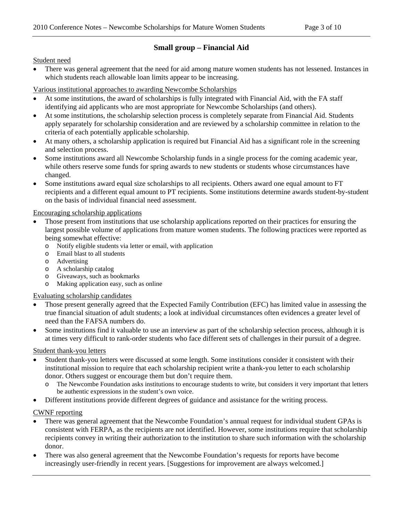## **Small group – Financial Aid**

Student need

 There was general agreement that the need for aid among mature women students has not lessened. Instances in which students reach allowable loan limits appear to be increasing.

Various institutional approaches to awarding Newcombe Scholarships

- At some institutions, the award of scholarships is fully integrated with Financial Aid, with the FA staff identifying aid applicants who are most appropriate for Newcombe Scholarships (and others).
- At some institutions, the scholarship selection process is completely separate from Financial Aid. Students apply separately for scholarship consideration and are reviewed by a scholarship committee in relation to the criteria of each potentially applicable scholarship.
- At many others, a scholarship application is required but Financial Aid has a significant role in the screening and selection process.
- Some institutions award all Newcombe Scholarship funds in a single process for the coming academic year, while others reserve some funds for spring awards to new students or students whose circumstances have changed.
- Some institutions award equal size scholarships to all recipients. Others award one equal amount to FT recipients and a different equal amount to PT recipients. Some institutions determine awards student-by-student on the basis of individual financial need assessment.

#### Encouraging scholarship applications

- Those present from institutions that use scholarship applications reported on their practices for ensuring the largest possible volume of applications from mature women students. The following practices were reported as being somewhat effective:
	- o Notify eligible students via letter or email, with application
	- o Email blast to all students
	- o Advertising
	- o A scholarship catalog
	- o Giveaways, such as bookmarks
	- Making application easy, such as online

Evaluating scholarship candidates

- Those present generally agreed that the Expected Family Contribution (EFC) has limited value in assessing the true financial situation of adult students; a look at individual circumstances often evidences a greater level of need than the FAFSA numbers do.
- Some institutions find it valuable to use an interview as part of the scholarship selection process, although it is at times very difficult to rank-order students who face different sets of challenges in their pursuit of a degree.

#### Student thank-you letters

- Student thank-you letters were discussed at some length. Some institutions consider it consistent with their institutional mission to require that each scholarship recipient write a thank-you letter to each scholarship donor. Others suggest or encourage them but don't require them.
	- o The Newcombe Foundation asks institutions to encourage students to write, but considers it very important that letters be authentic expressions in the student's own voice.
- Different institutions provide different degrees of guidance and assistance for the writing process.

CWNF reporting

- There was general agreement that the Newcombe Foundation's annual request for individual student GPAs is consistent with FERPA, as the recipients are not identified. However, some institutions require that scholarship recipients convey in writing their authorization to the institution to share such information with the scholarship donor.
- There was also general agreement that the Newcombe Foundation's requests for reports have become increasingly user-friendly in recent years. [Suggestions for improvement are always welcomed.]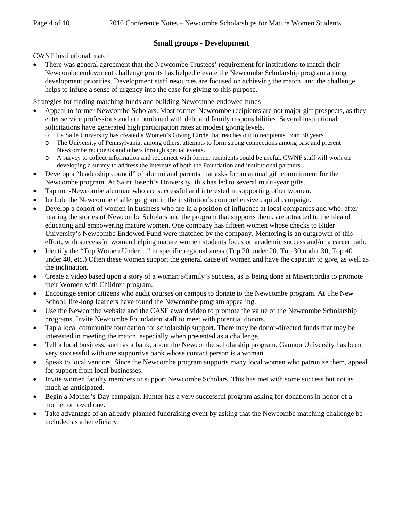## **Small groups - Development**

CWNF institutional match

 There was general agreement that the Newcombe Trustees' requirement for institutions to match their Newcombe endowment challenge grants has helped elevate the Newcombe Scholarship program among development priorities. Development staff resources are focused on achieving the match, and the challenge helps to infuse a sense of urgency into the case for giving to this purpose.

Strategies for finding matching funds and building Newcombe-endowed funds

- Appeal to former Newcombe Scholars. Most former Newcombe recipients are not major gift prospects, as they enter service professions and are burdened with debt and family responsibilities. Several institutional solicitations have generated high participation rates at modest giving levels.
	- La Salle University has created a Women's Giving Circle that reaches out to recipients from 30 years.
	- o The University of Pennsylvania, among others, attempts to form strong connections among past and present Newcombe recipients and others through special events.
	- o A survey to collect information and reconnect with former recipients could be useful. CWNF staff will work on developing a survey to address the interests of both the Foundation and institutional partners.
- Develop a "leadership council" of alumni and parents that asks for an annual gift commitment for the Newcombe program. At Saint Joseph's University, this has led to several multi-year gifts.
- Tap non-Newcombe alumnae who are successful and interested in supporting other women.
- Include the Newcombe challenge grant in the institution's comprehensive capital campaign.
- Develop a cohort of women in business who are in a position of influence at local companies and who, after hearing the stories of Newcombe Scholars and the program that supports them, are attracted to the idea of educating and empowering mature women. One company has fifteen women whose checks to Rider University's Newcombe Endowed Fund were matched by the company. Mentoring is an outgrowth of this effort, with successful women helping mature women students focus on academic success and/or a career path.
- Identify the "Top Women Under…" in specific regional areas (Top 20 under 20, Top 30 under 30, Top 40 under 40, etc.) Often these women support the general cause of women and have the capacity to give, as well as the inclination.
- Create a video based upon a story of a woman's/family's success, as is being done at Misericordia to promote their Women with Children program.
- Encourage senior citizens who audit courses on campus to donate to the Newcombe program. At The New School, life-long learners have found the Newcombe program appealing.
- Use the Newcombe website and the CASE award video to promote the value of the Newcombe Scholarship programs. Invite Newcombe Foundation staff to meet with potential donors.
- Tap a local community foundation for scholarship support. There may be donor-directed funds that may be interested in meeting the match, especially when presented as a challenge.
- Tell a local business, such as a bank, about the Newcombe scholarship program. Gannon University has been very successful with one supportive bank whose contact person is a woman.
- Speak to local vendors. Since the Newcombe program supports many local women who patronize them, appeal for support from local businesses.
- Invite women faculty members to support Newcombe Scholars. This has met with some success but not as much as anticipated.
- Begin a Mother's Day campaign. Hunter has a very successful program asking for donations in honor of a mother or loved one.
- Take advantage of an already-planned fundraising event by asking that the Newcombe matching challenge be included as a beneficiary.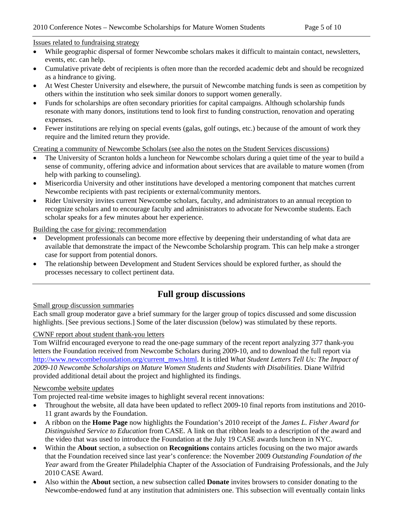#### Issues related to fundraising strategy

- While geographic dispersal of former Newcombe scholars makes it difficult to maintain contact, newsletters, events, etc. can help.
- Cumulative private debt of recipients is often more than the recorded academic debt and should be recognized as a hindrance to giving.
- At West Chester University and elsewhere, the pursuit of Newcombe matching funds is seen as competition by others within the institution who seek similar donors to support women generally.
- Funds for scholarships are often secondary priorities for capital campaigns. Although scholarship funds resonate with many donors, institutions tend to look first to funding construction, renovation and operating expenses.
- Fewer institutions are relying on special events (galas, golf outings, etc.) because of the amount of work they require and the limited return they provide.

Creating a community of Newcombe Scholars (see also the notes on the Student Services discussions)

- The University of Scranton holds a luncheon for Newcombe scholars during a quiet time of the year to build a sense of community, offering advice and information about services that are available to mature women (from help with parking to counseling).
- Misericordia University and other institutions have developed a mentoring component that matches current Newcombe recipients with past recipients or external/community mentors.
- Rider University invites current Newcombe scholars, faculty, and administrators to an annual reception to recognize scholars and to encourage faculty and administrators to advocate for Newcombe students. Each scholar speaks for a few minutes about her experience.

#### Building the case for giving: recommendation

- Development professionals can become more effective by deepening their understanding of what data are available that demonstrate the impact of the Newcombe Scholarship program. This can help make a stronger case for support from potential donors.
- The relationship between Development and Student Services should be explored further, as should the processes necessary to collect pertinent data.

## **Full group discussions**

#### Small group discussion summaries

Each small group moderator gave a brief summary for the larger group of topics discussed and some discussion highlights. [See previous sections.] Some of the later discussion (below) was stimulated by these reports.

#### CWNF report about student thank-you letters

Tom Wilfrid encouraged everyone to read the one-page summary of the recent report analyzing 377 thank-you letters the Foundation received from Newcombe Scholars during 2009-10, and to download the full report via [http://www.newcombefoundation.org/current\\_mws.html](http://www.newcombefoundation.org/current_mws.html). It is titled *What Student Letters Tell Us: The Impact of 2009-10 Newcombe Scholarships on Mature Women Students and Students with Disabilities.* Diane Wilfrid provided additional detail about the project and highlighted its findings.

#### Newcombe website updates

Tom projected real-time website images to highlight several recent innovations:

- Throughout the website, all data have been updated to reflect 2009-10 final reports from institutions and 2010-11 grant awards by the Foundation.
- A ribbon on the **Home Page** now highlights the Foundation's 2010 receipt of the *James L. Fisher Award for Distinguished Service to Education* from CASE. A link on that ribbon leads to a description of the award and the video that was used to introduce the Foundation at the July 19 CASE awards luncheon in NYC.
- Within the **About** section, a subsection on **Recognitions** contains articles focusing on the two major awards that the Foundation received since last year's conference: the November 2009 *Outstanding Foundation of the Year* award from the Greater Philadelphia Chapter of the Association of Fundraising Professionals, and the July 2010 CASE Award.
- Also within the **About** section, a new subsection called **Donate** invites browsers to consider donating to the Newcombe-endowed fund at any institution that administers one. This subsection will eventually contain links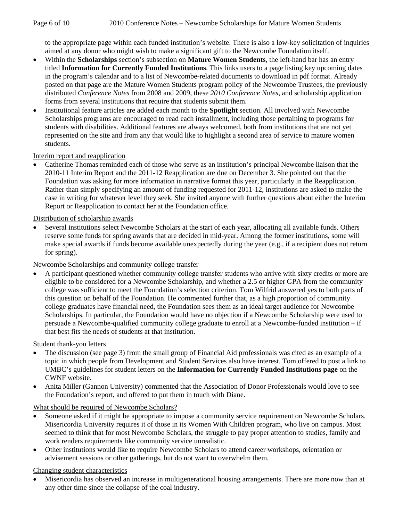to the appropriate page within each funded institution's website. There is also a low-key solicitation of inquiries aimed at any donor who might wish to make a significant gift to the Newcombe Foundation itself.

- Within the **Scholarships** section's subsection on **Mature Women Students**, the left-hand bar has an entry titled **Information for Currently Funded Institutions**. This links users to a page listing key upcoming dates in the program's calendar and to a list of Newcombe-related documents to download in pdf format. Already posted on that page are the Mature Women Students program policy of the Newcombe Trustees, the previously distributed *Conference Notes* from 2008 and 2009, these *2010 Conference Notes*, and scholarship application forms from several institutions that require that students submit them.
- Institutional feature articles are added each month to the **Spotlight** section. All involved with Newcombe Scholarships programs are encouraged to read each installment, including those pertaining to programs for students with disabilities. Additional features are always welcomed, both from institutions that are not yet represented on the site and from any that would like to highlight a second area of service to mature women students.

#### Interim report and reapplication

 Catherine Thomas reminded each of those who serve as an institution's principal Newcombe liaison that the 2010-11 Interim Report and the 2011-12 Reapplication are due on December 3. She pointed out that the Foundation was asking for more information in narrative format this year, particularly in the Reapplication. Rather than simply specifying an amount of funding requested for 2011-12, institutions are asked to make the case in writing for whatever level they seek. She invited anyone with further questions about either the Interim Report or Reapplication to contact her at the Foundation office.

#### Distribution of scholarship awards

 Several institutions select Newcombe Scholars at the start of each year, allocating all available funds. Others reserve some funds for spring awards that are decided in mid-year. Among the former institutions, some will make special awards if funds become available unexpectedly during the year (e.g., if a recipient does not return for spring).

#### Newcombe Scholarships and community college transfer

 A participant questioned whether community college transfer students who arrive with sixty credits or more are eligible to be considered for a Newcombe Scholarship, and whether a 2.5 or higher GPA from the community college was sufficient to meet the Foundation's selection criterion. Tom Wilfrid answered yes to both parts of this question on behalf of the Foundation. He commented further that, as a high proportion of community college graduates have financial need, the Foundation sees them as an ideal target audience for Newcombe Scholarships. In particular, the Foundation would have no objection if a Newcombe Scholarship were used to persuade a Newcombe-qualified community college graduate to enroll at a Newcombe-funded institution – if that best fits the needs of students at that institution.

#### Student thank-you letters

- The discussion (see page 3) from the small group of Financial Aid professionals was cited as an example of a topic in which people from Development and Student Services also have interest. Tom offered to post a link to UMBC's guidelines for student letters on the **Information for Currently Funded Institutions page** on the CWNF website.
- Anita Miller (Gannon University) commented that the Association of Donor Professionals would love to see the Foundation's report, and offered to put them in touch with Diane.

#### What should be required of Newcombe Scholars?

- Someone asked if it might be appropriate to impose a community service requirement on Newcombe Scholars. Misericordia University requires it of those in its Women With Children program, who live on campus. Most seemed to think that for most Newcombe Scholars, the struggle to pay proper attention to studies, family and work renders requirements like community service unrealistic.
- Other institutions would like to require Newcombe Scholars to attend career workshops, orientation or advisement sessions or other gatherings, but do not want to overwhelm them.

#### Changing student characteristics

 Misericordia has observed an increase in multigenerational housing arrangements. There are more now than at any other time since the collapse of the coal industry.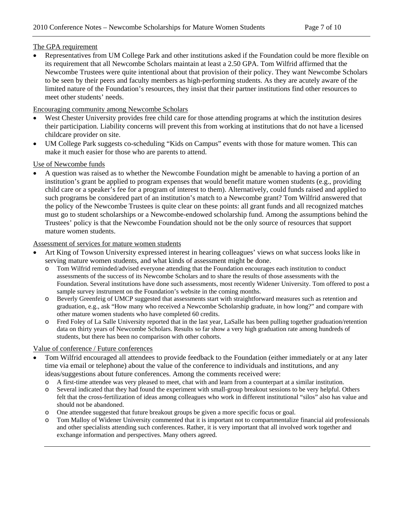#### The GPA requirement

 Representatives from UM College Park and other institutions asked if the Foundation could be more flexible on its requirement that all Newcombe Scholars maintain at least a 2.50 GPA. Tom Wilfrid affirmed that the Newcombe Trustees were quite intentional about that provision of their policy. They want Newcombe Scholars to be seen by their peers and faculty members as high-performing students. As they are acutely aware of the limited nature of the Foundation's resources, they insist that their partner institutions find other resources to meet other students' needs.

#### Encouraging community among Newcombe Scholars

- West Chester University provides free child care for those attending programs at which the institution desires their participation. Liability concerns will prevent this from working at institutions that do not have a licensed childcare provider on site.
- UM College Park suggests co-scheduling "Kids on Campus" events with those for mature women. This can make it much easier for those who are parents to attend.

#### Use of Newcombe funds

 A question was raised as to whether the Newcombe Foundation might be amenable to having a portion of an institution's grant be applied to program expenses that would benefit mature women students (e.g., providing child care or a speaker's fee for a program of interest to them). Alternatively, could funds raised and applied to such programs be considered part of an institution's match to a Newcombe grant? Tom Wilfrid answered that the policy of the Newcombe Trustees is quite clear on these points: all grant funds and all recognized matches must go to student scholarships or a Newcombe-endowed scholarship fund. Among the assumptions behind the Trustees' policy is that the Newcombe Foundation should not be the only source of resources that support mature women students.

#### Assessment of services for mature women students

- Art King of Towson University expressed interest in hearing colleagues' views on what success looks like in serving mature women students, and what kinds of assessment might be done.
	- o Tom Wilfrid reminded/advised everyone attending that the Foundation encourages each institution to conduct assessments of the success of its Newcombe Scholars and to share the results of those assessments with the Foundation. Several institutions have done such assessments, most recently Widener University. Tom offered to post a sample survey instrument on the Foundation's website in the coming months.
	- o Beverly Greenfeig of UMCP suggested that assessments start with straightforward measures such as retention and graduation, e.g., ask "How many who received a Newcombe Scholarship graduate, in how long?" and compare with other mature women students who have completed 60 credits.
	- o Fred Foley of La Salle University reported that in the last year, LaSalle has been pulling together graduation/retention data on thirty years of Newcombe Scholars. Results so far show a very high graduation rate among hundreds of students, but there has been no comparison with other cohorts.

#### Value of conference / Future conferences

- Tom Wilfrid encouraged all attendees to provide feedback to the Foundation (either immediately or at any later time via email or telephone) about the value of the conference to individuals and institutions, and any ideas/suggestions about future conferences. Among the comments received were:
	- o A first-time attendee was very pleased to meet, chat with and learn from a counterpart at a similar institution.
	- o Several indicated that they had found the experiment with small-group breakout sessions to be very helpful. Others felt that the cross-fertilization of ideas among colleagues who work in different institutional "silos" also has value and should not be abandoned.
	- o One attendee suggested that future breakout groups be given a more specific focus or goal.
	- o Tom Malloy of Widener University commented that it is important not to compartmentalize financial aid professionals and other specialists attending such conferences. Rather, it is very important that all involved work together and exchange information and perspectives. Many others agreed.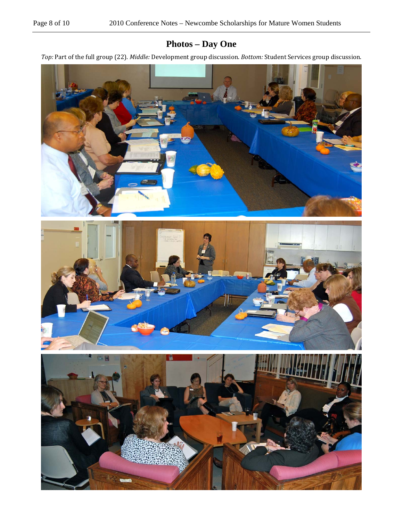# **Photos – Day One**

*Top:* Part of the full group (22). *Middle:* Development group discussion. *Bottom:* Student Services group discussion.

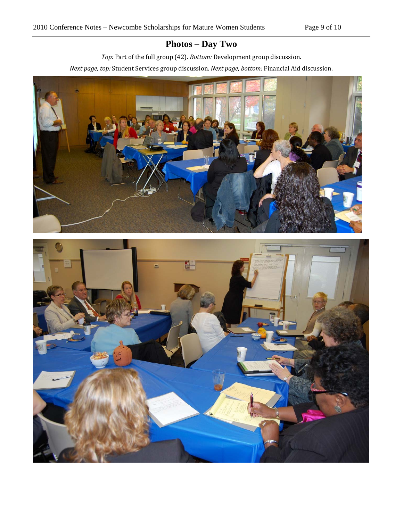# **Photos – Day Two**

*Top:* Part of the full group (42). *Bottom:* Development group discussion. *Next page, top:* Student Services group discussion. *Next page, bottom:* Financial Aid discussion.